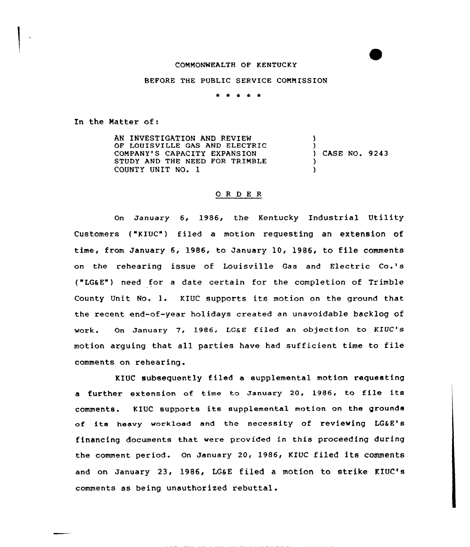## COMMONWEALTH OF KENTUCKY

## BEFORE THE PUBLIC SERVICE COMMISSION

\* \* \* \* \*

In the Matter of:

AN INVESTIGATION AND REVIEW OF LOUISVILLE GAS AND ELECTRIC COMPANY'S CAPACITY EXPANSION STUDY AND THE NEED FOR TRINBLE COUNTY UNIT NO. 1 ) ) ) CASE NO. 9243 ) )

## 0 R <sup>D</sup> E R

On January 6, 1986, the Kentucky Industrial Utility Customers ("KIUC") filed a motion requesting an extension of time, from January 6, 1986, to January 10, 1986, to file comments on the rehearing issue of Louisville Gas and Electric Co.'s ("LG&E") need for a date certain for the completion of Trimble County Unit No. 1. KIUC supports its motion on the ground that the recent end-of-year holidays created an unavoidable backlog of work. On January 7, 1986, LG&E filed an objection to KTUC's motion arguing that all parties have had sufficient time to file comments on rehearing.

KIUC subsequently filed a supplemental motion requesting a further extension of time to January 20, 1986, to file its comments. <sup>K</sup> IUC supports its supplemental mot ion on the grounds of its heavy workload and the necessity of reviewing LG&E's financing documents that were provided in this proceeding during the comment period. On January 20, 1986, KIUC filed its comments and on January 23, 1986, LG&E filed a motion to strike KIUC's comments as being unauthorized rebuttal.